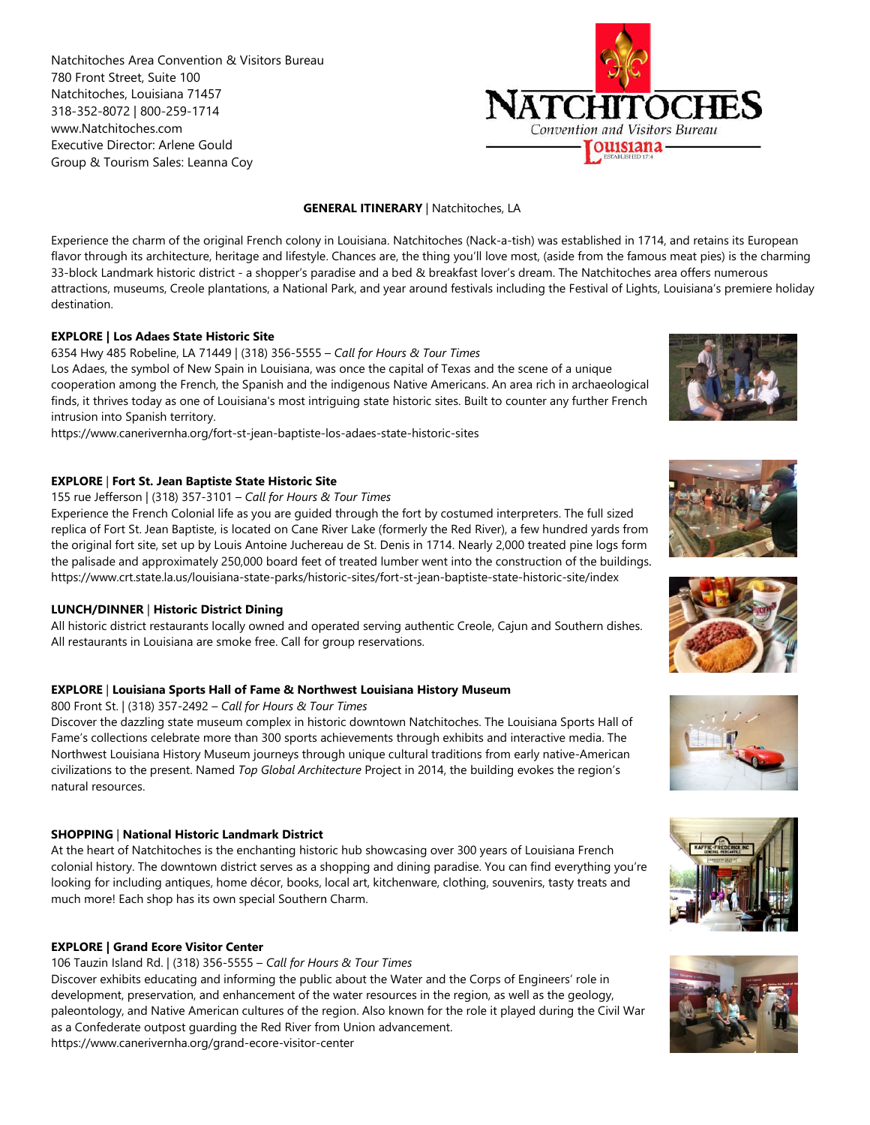Natchitoches Area Convention & Visitors Bureau 780 Front Street, Suite 100 Natchitoches, Louisiana 71457 318-352-8072 | 800-259-1714 www.Natchitoches.com Executive Director: Arlene Gould Group & Tourism Sales: Leanna Coy



# **GENERAL ITINERARY** | Natchitoches, LA

Experience the charm of the original French colony in Louisiana. Natchitoches (Nack-a-tish) was established in 1714, and retains its European flavor through its architecture, heritage and lifestyle. Chances are, the thing you'll love most, (aside from the famous meat pies) is the charming 33-block Landmark historic district - a shopper's paradise and a bed & breakfast lover's dream. The Natchitoches ar area offers numerous attractions, museums, Creole plantations, a National Park, and year around festivals including the Festival of Lights, Louisiana's premiere holiday destination. are one center of the original streets comes in location. The state is the charming the most center of the most center of the most center of the most center of the most center of the most center of the most center of the m

# **EXPLORE | Los Adaes State Historic Site**

6354 Hwy 485 Robeline, LA 71449 | (318) 356-5555 – *Call for Hours & Tour Times* Los Adaes, the symbol of New Spain in Louisiana, was once the capital of Texas and the scene of a unique cooperation among the French, the Spanish and the indigenous Native Americans. An area rich in archaeological finds, it thrives today as one of Louisiana's most intriguing state historic sites. Built to counter any further French intrusion into Spanish territory.

https://www.canerivernha.org/fort-st-jean-baptiste-los-adaes-state-historic-sites

# **EXPLORE** | **Fort St. Jean Baptiste State Historic Site**

#### 155 rue Jefferson | (318) 357-3101 – *Call for Hours & Tour Times*

Experience the French Colonial life as you are guided through the fort by costumed interpreters. The full sized replica of Fort St. Jean Baptiste, is located on Cane River Lake (formerly the Red River), a few hundred yards from the original fort site, set up by Louis Antoine Juchereau de St. Denis in 1714. Nearly 2,000 treated pine logs form the palisade and approximately 250,000 board feet of treated lumber went into the construction of the buildings. https://www.crt.state.la.us/louisiana-state-parks/historic-sites/fort-st-jean-baptiste-state-historic-site/index cooperation among the French, the Spanish and the indigenous Native Americans. An area rich in archaeological<br>infrasts it throes today as one of Louisiana's most rintiguing state historic sites. Built to counter any furthe

# **LUNCH/DINNER** | **Historic District Dining**

All historic district restaurants locally owned and operated serving authentic Creole, Cajun and Southern dishes. All restaurants in Louisiana are smoke free. Call for group reservations.

# **EXPLORE** | **Louisiana Sports Hall of Fame & Northwest Louisiana History Museum**

800 Front St. | (318) 357-2492 – *Call for Hours & Tour Times*

Discover the dazzling state museum complex in historic downtown Natchitoches. The Louisiana Sports Hall of Fame's collections celebrate more than 300 sports achievements through exhibits and interactive media. The All restaurants in Louisiana are smoke free. Call for group reservations.<br>**EXPLORE | Louisiana Sports Hall of Fame & Northwest Louisiana History Museum**<br>800 Front St. | (318) 357-2492 – *Call for Hours & Tour Times*<br>Discov civilizations to the present. Named *Top Global Architecture* Project in 2014, the building evokes the region's natural resources.

# **SHOPPING** | **National Historic Landmark District**

At the heart of Natchitoches is the enchanting historic hub showcasing over 300 years of Louisiana French colonial history. The downtown district serves as a shopping and dining paradise. You can find everything you're looking for including antiques, home décor, books, local art, kitchenware, clothing, souvenirs, tasty treats and much more! Each shop has its own special Southern Charm.

# **EXPLORE | Grand Ecore Visitor Center**

106 Tauzin Island Rd. | (318) 356-5555 – *Call for Hours & Tour Times*

Discover exhibits educating and informing the public about the Water and the Corps of Engineers' role in development, preservation, and enhancement of the water resources in the region, as well as the geology, paleontology, and Native American cultures of the region. Also known for the role it played during the Civil War as a Confederate outpost guarding the Red River from Union advancement. https://www.canerivernha.org/grand-ecore-visitor-center